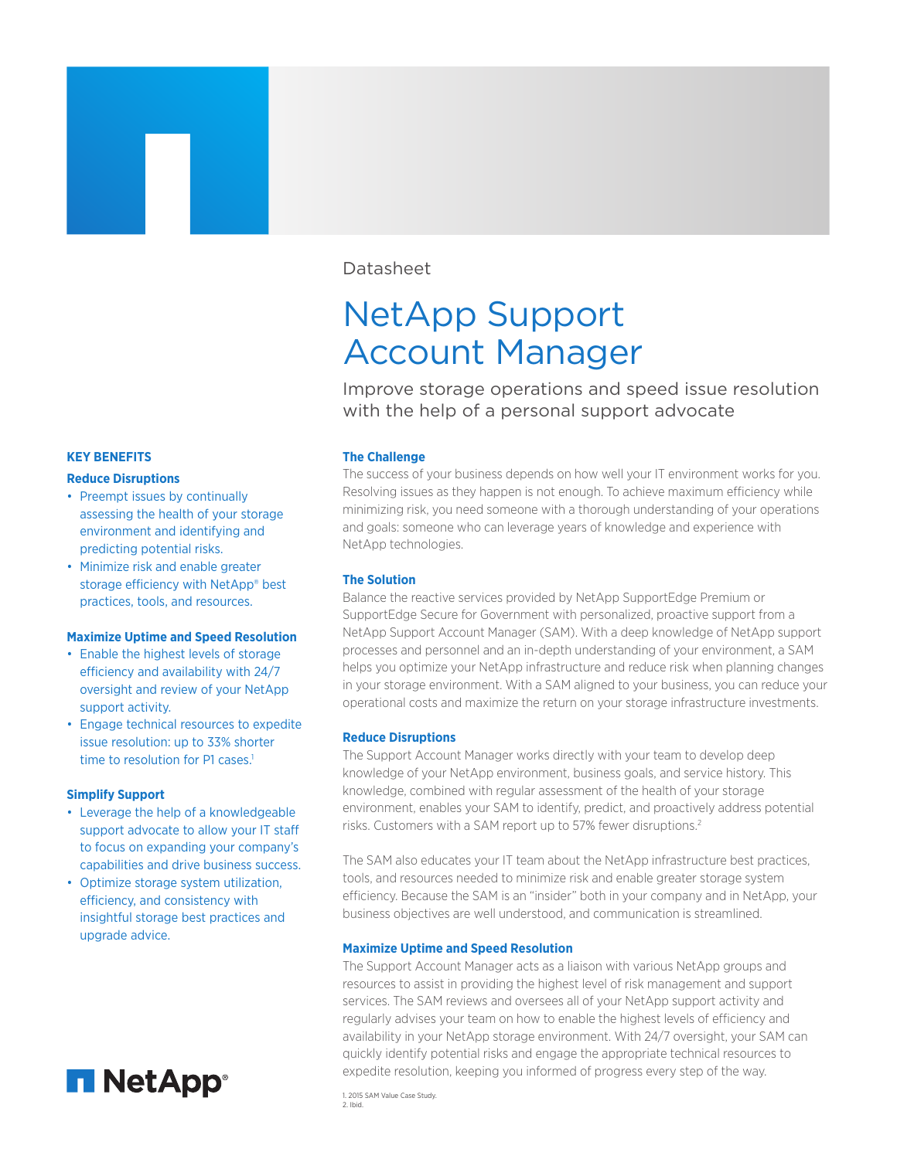# Datasheet

# NetApp Support Account Manager

Improve storage operations and speed issue resolution with the help of a personal support advocate

# **The Challenge**

The success of your business depends on how well your IT environment works for you. Resolving issues as they happen is not enough. To achieve maximum efficiency while minimizing risk, you need someone with a thorough understanding of your operations and goals: someone who can leverage years of knowledge and experience with NetApp technologies.

# **The Solution**

Balance the reactive services provided by NetApp SupportEdge Premium or SupportEdge Secure for Government with personalized, proactive support from a NetApp Support Account Manager (SAM). With a deep knowledge of NetApp support processes and personnel and an in-depth understanding of your environment, a SAM helps you optimize your NetApp infrastructure and reduce risk when planning changes in your storage environment. With a SAM aligned to your business, you can reduce your operational costs and maximize the return on your storage infrastructure investments.

# **Reduce Disruptions**

The Support Account Manager works directly with your team to develop deep knowledge of your NetApp environment, business goals, and service history. This knowledge, combined with regular assessment of the health of your storage environment, enables your SAM to identify, predict, and proactively address potential risks. Customers with a SAM report up to 57% fewer disruptions.<sup>2</sup>

The SAM also educates your IT team about the NetApp infrastructure best practices, tools, and resources needed to minimize risk and enable greater storage system efficiency. Because the SAM is an "insider" both in your company and in NetApp, your business objectives are well understood, and communication is streamlined.

## **Maximize Uptime and Speed Resolution**

The Support Account Manager acts as a liaison with various NetApp groups and resources to assist in providing the highest level of risk management and support services. The SAM reviews and oversees all of your NetApp support activity and regularly advises your team on how to enable the highest levels of efficiency and availability in your NetApp storage environment. With 24/7 oversight, your SAM can quickly identify potential risks and engage the appropriate technical resources to expedite resolution, keeping you informed of progress every step of the way.

1. 2015 SAM Value Case Study. 2. Ibid.

#### **KEY BENEFITS**

## **Reduce Disruptions**

- Preempt issues by continually assessing the health of your storage environment and identifying and predicting potential risks.
- Minimize risk and enable greater storage efficiency with NetApp® best practices, tools, and resources.

## **Maximize Uptime and Speed Resolution**

- Enable the highest levels of storage efficiency and availability with 24/7 oversight and review of your NetApp support activity.
- Engage technical resources to expedite issue resolution: up to 33% shorter time to resolution for P1 cases.<sup>1</sup>

## **Simplify Support**

- Leverage the help of a knowledgeable support advocate to allow your IT staff to focus on expanding your company's capabilities and drive business success.
- Optimize storage system utilization, efficiency, and consistency with insightful storage best practices and upgrade advice.